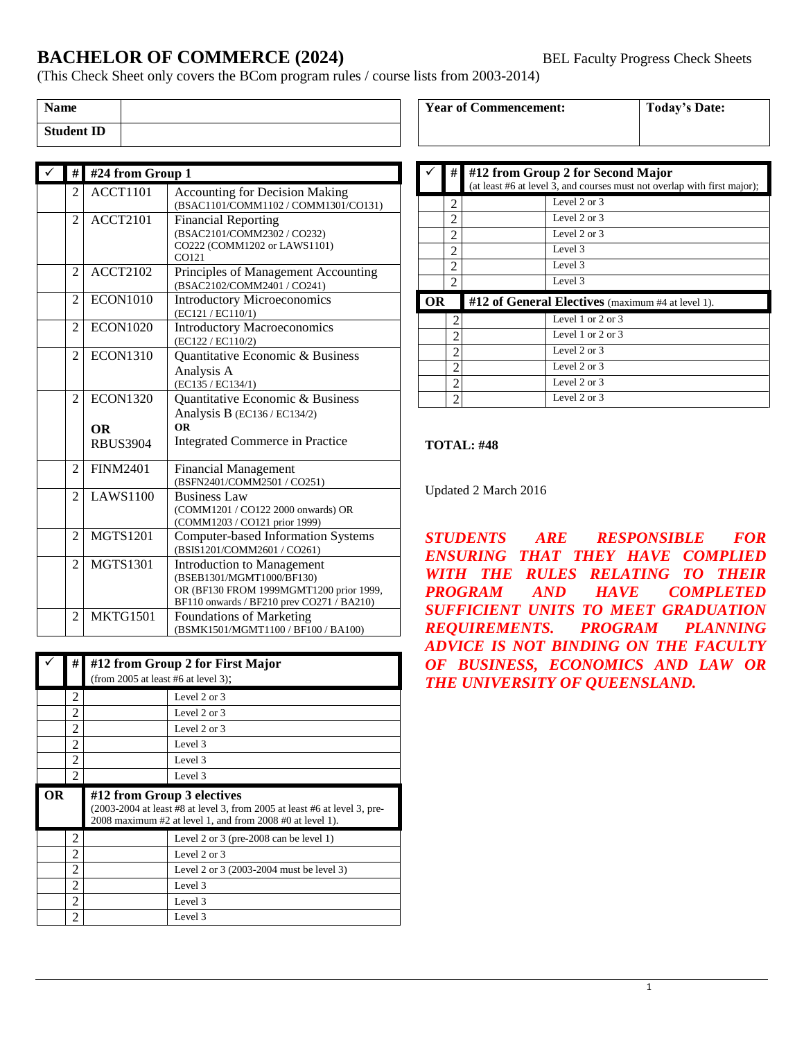## **BACHELOR OF COMMERCE (2024)** BEL Faculty Progress Check Sheets

(This Check Sheet only covers the BCom program rules / course lists from 2003-2014)

| <b>Name</b>       |  |
|-------------------|--|
| <b>Student ID</b> |  |

| #              | #24 from Group 1 |                                           |
|----------------|------------------|-------------------------------------------|
| 2              | <b>ACCT1101</b>  | <b>Accounting for Decision Making</b>     |
|                |                  | (BSAC1101/COMM1102 / COMM1301/CO131)      |
| $\overline{c}$ | <b>ACCT2101</b>  | <b>Financial Reporting</b>                |
|                |                  | (BSAC2101/COMM2302 / CO232)               |
|                |                  | CO222 (COMM1202 or LAWS1101)              |
|                |                  | CO121                                     |
| $\mathfrak{D}$ | <b>ACCT2102</b>  | Principles of Management Accounting       |
|                |                  | (BSAC2102/COMM2401 / CO241)               |
| $\overline{c}$ | <b>ECON1010</b>  | <b>Introductory Microeconomics</b>        |
|                |                  | (EC121 / EC110/1)                         |
| $\overline{c}$ | <b>ECON1020</b>  | <b>Introductory Macroeconomics</b>        |
|                |                  | (EC122 / EC110/2)                         |
| $\overline{c}$ | <b>ECON1310</b>  | Quantitative Economic & Business          |
|                |                  | Analysis A                                |
|                |                  | (EC135 / EC134/1)                         |
| $\overline{c}$ | <b>ECON1320</b>  | Quantitative Economic & Business          |
|                |                  | Analysis B (EC136 / EC134/2)              |
|                | <b>OR</b>        | <b>OR</b>                                 |
|                | <b>RBUS3904</b>  | <b>Integrated Commerce in Practice</b>    |
|                |                  |                                           |
| $\overline{c}$ | <b>FINM2401</b>  | <b>Financial Management</b>               |
|                |                  | (BSFN2401/COMM2501 / CO251)               |
| $\mathfrak{D}$ | <b>LAWS1100</b>  | <b>Business Law</b>                       |
|                |                  | (COMM1201 / CO122 2000 onwards) OR        |
|                |                  | (COMM1203 / CO121 prior 1999)             |
| $\overline{2}$ | <b>MGTS1201</b>  | <b>Computer-based Information Systems</b> |
|                |                  | (BSIS1201/COMM2601 / CO261)               |
| 2              | <b>MGTS1301</b>  | <b>Introduction to Management</b>         |
|                |                  | (BSEB1301/MGMT1000/BF130)                 |
|                |                  | OR (BF130 FROM 1999MGMT1200 prior 1999,   |
|                |                  | BF110 onwards / BF210 prev CO271 / BA210) |
| 2              | MKTG1501         | Foundations of Marketing                  |
|                |                  | (BSMK1501/MGMT1100 / BF100 / BA100)       |

|    | #                                                                                                                                                                    | #12 from Group 2 for First Major<br>(from $2005$ at least #6 at level 3); |                                          |
|----|----------------------------------------------------------------------------------------------------------------------------------------------------------------------|---------------------------------------------------------------------------|------------------------------------------|
|    | 2                                                                                                                                                                    |                                                                           | Level $2$ or $3$                         |
|    | 2                                                                                                                                                                    |                                                                           | Level $2$ or $3$                         |
|    | $\mathfrak{D}$                                                                                                                                                       |                                                                           | Level 2 or 3                             |
|    | 2                                                                                                                                                                    |                                                                           | Level 3                                  |
|    | $\mathfrak{D}$                                                                                                                                                       |                                                                           | Level 3                                  |
|    | 2                                                                                                                                                                    |                                                                           | Level 3                                  |
| OR | #12 from Group 3 electives<br>(2003-2004 at least #8 at level 3, from 2005 at least #6 at level 3, pre-<br>2008 maximum #2 at level 1, and from 2008 #0 at level 1). |                                                                           |                                          |
|    |                                                                                                                                                                      |                                                                           |                                          |
|    | 2                                                                                                                                                                    |                                                                           | Level 2 or 3 (pre-2008 can be level 1)   |
|    | 2                                                                                                                                                                    |                                                                           | Level 2 or 3                             |
|    | $\mathfrak{D}$                                                                                                                                                       |                                                                           | Level 2 or 3 (2003-2004 must be level 3) |
|    | 2                                                                                                                                                                    |                                                                           | Level 3                                  |
|    | 2                                                                                                                                                                    |                                                                           | Level 3                                  |

| <b>Year of Commencement:</b> |  |
|------------------------------|--|
|------------------------------|--|

 $\overline{\text{Today's Date:}}$ 

|                                                                | #              | #12 from Group 2 for Second Major<br>(at least #6 at level 3, and courses must not overlap with first major); |                         |
|----------------------------------------------------------------|----------------|---------------------------------------------------------------------------------------------------------------|-------------------------|
|                                                                | 2              |                                                                                                               | Level $2$ or $3$        |
|                                                                | 2              |                                                                                                               | Level $2 \text{ or } 3$ |
|                                                                | 2              |                                                                                                               | Level 2 or 3            |
|                                                                | 2              |                                                                                                               | Level 3                 |
|                                                                | 2              |                                                                                                               | Level 3                 |
|                                                                | $\mathfrak{D}$ |                                                                                                               | Level 3                 |
| #12 of General Electives (maximum #4 at level 1).<br><b>OR</b> |                |                                                                                                               |                         |
|                                                                | 2              |                                                                                                               | Level 1 or 2 or 3       |
|                                                                | $\overline{2}$ |                                                                                                               | Level 1 or 2 or 3       |
|                                                                | 2              |                                                                                                               | Level $2$ or $3$        |
|                                                                | $\overline{c}$ |                                                                                                               | Level $2$ or $3$        |
|                                                                | $\overline{c}$ |                                                                                                               | Level $2$ or $3$        |
|                                                                | 2              |                                                                                                               | Level 2 or 3            |

#### **TOTAL: #48**

Updated 2 March 2016

*STUDENTS ARE RESPONSIBLE FOR ENSURING THAT THEY HAVE COMPLIED WITH THE RULES RELATING TO THEIR PROGRAM AND HAVE COMPLETED SUFFICIENT UNITS TO MEET GRADUATION REQUIREMENTS. PROGRAM PLANNING ADVICE IS NOT BINDING ON THE FACULTY OF BUSINESS, ECONOMICS AND LAW OR THE UNIVERSITY OF QUEENSLAND.*